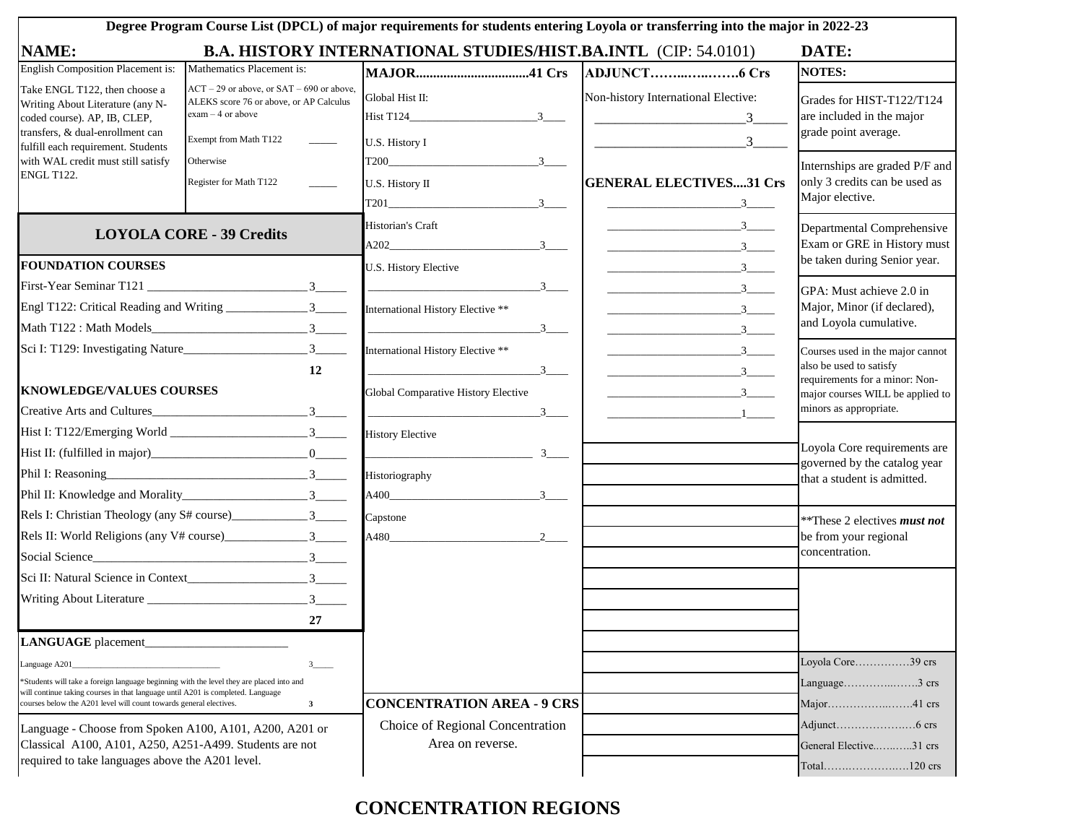| Degree Program Course List (DPCL) of major requirements for students entering Loyola or transferring into the major in 2022-23                                              |                                                                                                                                          |                                                                           |                                                                                                                                      |                                                                                               |  |  |  |
|-----------------------------------------------------------------------------------------------------------------------------------------------------------------------------|------------------------------------------------------------------------------------------------------------------------------------------|---------------------------------------------------------------------------|--------------------------------------------------------------------------------------------------------------------------------------|-----------------------------------------------------------------------------------------------|--|--|--|
| <b>B.A. HISTORY INTERNATIONAL STUDIES/HIST.BA.INTL (CIP: 54.0101)</b><br><b>NAME:</b><br>DATE:                                                                              |                                                                                                                                          |                                                                           |                                                                                                                                      |                                                                                               |  |  |  |
| <b>English Composition Placement is:</b>                                                                                                                                    | Mathematics Placement is:                                                                                                                |                                                                           |                                                                                                                                      | <b>NOTES:</b>                                                                                 |  |  |  |
| Take ENGL T122, then choose a<br>Writing About Literature (any N-<br>coded course). AP, IB, CLEP,<br>transfers, & dual-enrollment can<br>fulfill each requirement. Students | $ACT - 29$ or above, or $SAT - 690$ or above,<br>ALEKS score 76 or above, or AP Calculus<br>$exam - 4$ or above<br>Exempt from Math T122 | Global Hist II:<br>$-3$<br>U.S. History I                                 | Non-history International Elective:<br>$\overline{\phantom{a}3}$<br>3 <sup>7</sup>                                                   | Grades for HIST-T122/T124<br>are included in the major<br>grade point average.                |  |  |  |
| with WAL credit must still satisfy<br><b>ENGL T122.</b>                                                                                                                     | Otherwise<br>Register for Math T122                                                                                                      | T200<br>$-3$<br>U.S. History II<br>3                                      | <b>GENERAL ELECTIVES31 Crs</b><br>$\overbrace{\hspace{2.5cm}}^{\hspace{2.5cm}3}$                                                     | Internships are graded P/F and<br>only 3 credits can be used as<br>Major elective.            |  |  |  |
|                                                                                                                                                                             | <b>LOYOLA CORE - 39 Credits</b>                                                                                                          | Historian's Craft<br>$A202$ $3$ $3$                                       | $\sim$ 3<br>$\overline{\phantom{a}3\phantom{a}}$                                                                                     | Departmental Comprehensive<br>Exam or GRE in History must                                     |  |  |  |
| <b>FOUNDATION COURSES</b>                                                                                                                                                   |                                                                                                                                          | U.S. History Elective                                                     |                                                                                                                                      | be taken during Senior year.                                                                  |  |  |  |
|                                                                                                                                                                             |                                                                                                                                          | $\overline{\phantom{a}3\phantom{a}}$<br>International History Elective ** | $\overline{\phantom{a}3\phantom{a}}$<br>$\overbrace{\hspace{2.5cm}3\qquad \qquad 3}$<br>$\overbrace{\hspace{2.5cm}3\qquad \qquad 3}$ | GPA: Must achieve 2.0 in<br>Major, Minor (if declared),<br>and Loyola cumulative.             |  |  |  |
| 12                                                                                                                                                                          |                                                                                                                                          | International History Elective **<br>$\overline{\phantom{a}3\phantom{a}}$ | $\overline{\phantom{a}3}$                                                                                                            | Courses used in the major cannot<br>also be used to satisfy<br>requirements for a minor: Non- |  |  |  |
| <b>KNOWLEDGE/VALUES COURSES</b>                                                                                                                                             |                                                                                                                                          | Global Comparative History Elective                                       | $\overbrace{\hspace{2.5cm}3\qquad \qquad 3}$                                                                                         | major courses WILL be applied to                                                              |  |  |  |
| Creative Arts and Cultures                                                                                                                                                  |                                                                                                                                          | $\overbrace{\hspace{2.5cm}}$ 3 $\overbrace{\hspace{2.5cm}}$               |                                                                                                                                      | minors as appropriate.                                                                        |  |  |  |
|                                                                                                                                                                             |                                                                                                                                          | <b>History Elective</b>                                                   |                                                                                                                                      |                                                                                               |  |  |  |
|                                                                                                                                                                             |                                                                                                                                          | $\frac{3}{2}$                                                             |                                                                                                                                      | Loyola Core requirements are<br>governed by the catalog year                                  |  |  |  |
|                                                                                                                                                                             |                                                                                                                                          | Historiography                                                            |                                                                                                                                      | that a student is admitted.                                                                   |  |  |  |
|                                                                                                                                                                             |                                                                                                                                          | $A400$ $3$ $3$                                                            |                                                                                                                                      |                                                                                               |  |  |  |
|                                                                                                                                                                             |                                                                                                                                          | Capstone                                                                  |                                                                                                                                      | **These 2 electives <i>must not</i>                                                           |  |  |  |
|                                                                                                                                                                             |                                                                                                                                          | $A480$ 2 2                                                                |                                                                                                                                      | be from your regional<br>concentration.                                                       |  |  |  |
| Social Science 3                                                                                                                                                            |                                                                                                                                          |                                                                           |                                                                                                                                      |                                                                                               |  |  |  |
|                                                                                                                                                                             |                                                                                                                                          |                                                                           |                                                                                                                                      |                                                                                               |  |  |  |
|                                                                                                                                                                             | 27                                                                                                                                       |                                                                           |                                                                                                                                      |                                                                                               |  |  |  |
| LANGUAGE placement                                                                                                                                                          |                                                                                                                                          |                                                                           |                                                                                                                                      |                                                                                               |  |  |  |
| Language A201                                                                                                                                                               | 3                                                                                                                                        |                                                                           |                                                                                                                                      | Loyola Core39 crs                                                                             |  |  |  |
| *Students will take a foreign language beginning with the level they are placed into and<br>will continue taking courses in that language until A201 is completed. Language |                                                                                                                                          |                                                                           |                                                                                                                                      | Language3 crs                                                                                 |  |  |  |
| $\mathbf{3}$<br>courses below the A201 level will count towards general electives.                                                                                          |                                                                                                                                          | <b>CONCENTRATION AREA - 9 CRS</b>                                         |                                                                                                                                      | Major41 crs                                                                                   |  |  |  |
| Language - Choose from Spoken A100, A101, A200, A201 or<br>Classical A100, A101, A250, A251-A499. Students are not                                                          |                                                                                                                                          | Choice of Regional Concentration<br>Area on reverse.                      |                                                                                                                                      | General Elective31 crs                                                                        |  |  |  |
| required to take languages above the A201 level.                                                                                                                            |                                                                                                                                          |                                                                           |                                                                                                                                      |                                                                                               |  |  |  |

## **CONCENTRATION REGIONS**